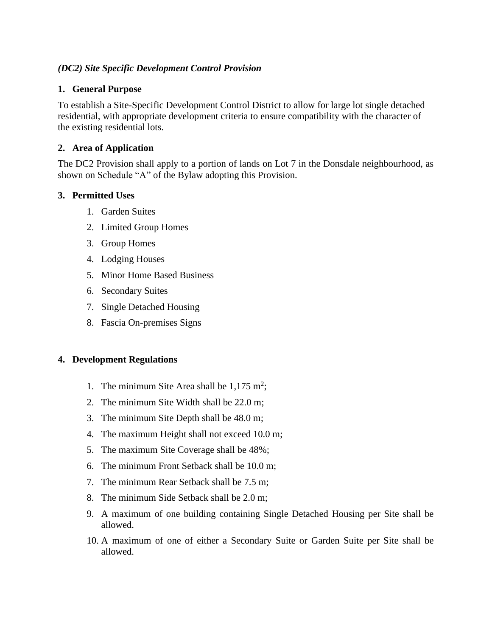# *(DC2) Site Specific Development Control Provision*

### **1. General Purpose**

To establish a Site-Specific Development Control District to allow for large lot single detached residential, with appropriate development criteria to ensure compatibility with the character of the existing residential lots.

# **2. Area of Application**

The DC2 Provision shall apply to a portion of lands on Lot 7 in the Donsdale neighbourhood, as shown on Schedule "A" of the Bylaw adopting this Provision.

## **3. Permitted Uses**

- 1. Garden Suites
- 2. Limited Group Homes
- 3. Group Homes
- 4. Lodging Houses
- 5. Minor Home Based Business
- 6. Secondary Suites
- 7. Single Detached Housing
- 8. Fascia On-premises Signs

## **4. Development Regulations**

- 1. The minimum Site Area shall be  $1,175 \text{ m}^2$ ;
- 2. The minimum Site Width shall be 22.0 m;
- 3. The minimum Site Depth shall be 48.0 m;
- 4. The maximum Height shall not exceed 10.0 m;
- 5. The maximum Site Coverage shall be 48%;
- 6. The minimum Front Setback shall be 10.0 m;
- 7. The minimum Rear Setback shall be 7.5 m;
- 8. The minimum Side Setback shall be 2.0 m;
- 9. A maximum of one building containing Single Detached Housing per Site shall be allowed.
- 10. A maximum of one of either a Secondary Suite or Garden Suite per Site shall be allowed.